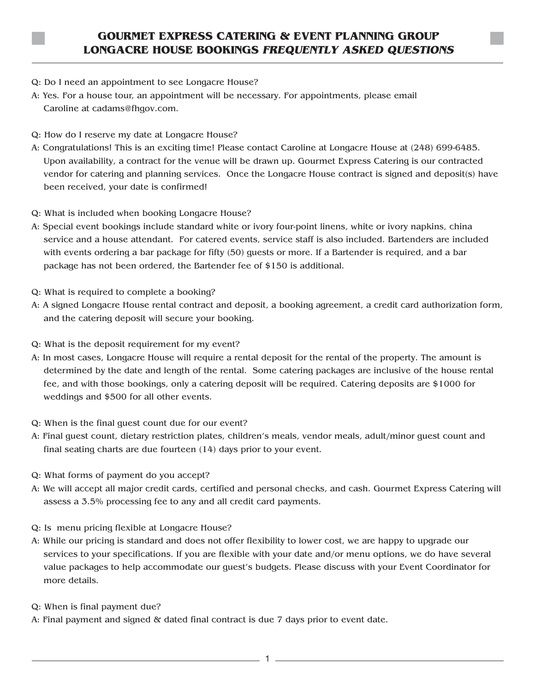## **GOURMET EXPRESS CATERING & EVENT PLANNING GROUP LONGACRE HOUSE BOOKINGS FREQUENTLY ASKED QUESTIONS**

- Q: Do I need an appointment to see Longacre House?
- A: Yes. For a house tour, an appointment will be necessary. For appointments, please email Caroline at cadams@fhgov.com.
- Q: How do I reserve my date at Longacre House?
- A: Congratulations! This is an exciting time! Please contact Caroline at Longacre House at (248) 699-6485. Upon availability, a contract for the venue will be drawn up. Gourmet Express Catering is our contracted vendor for catering and planning services. Once the Longacre House contract is signed and deposit(s) have been received, your date is confirmed!
- Q: What is included when booking Longacre House?
- A: Special event bookings include standard white or ivory four-point linens, white or ivory napkins, china service and a house attendant. For catered events, service staff is also included. Bartenders are included with events ordering a bar package for fifty (50) guests or more. If a Bartender is required, and a bar package has not been ordered, the Bartender fee of \$150 is additional.
- Q: What is required to complete a booking?
- A: A signed Longacre House rental contract and deposit, a booking agreement, a credit card authorization form, and the catering deposit will secure your booking.
- Q: What is the deposit requirement for my event?
- A: In most cases, Longacre House will require a rental deposit for the rental of the property. The amount is determined by the date and length of the rental. Some catering packages are inclusive of the house rental fee, and with those bookings, only a catering deposit will be required. Catering deposits are \$1000 for weddings and \$500 for all other events.
- Q: When is the final guest count due for our event?
- A: Final guest count, dietary restriction plates, children's meals, vendor meals, adult/minor guest count and final seating charts are due fourteen (14) days prior to your event.
- Q: What forms of payment do you accept?
- A: We will accept all major credit cards, certified and personal checks, and cash. Gourmet Express Catering will assess a 3.5% processing fee to any and all credit card payments.
- Q: Is menu pricing flexible at Longacre House?
- A: While our pricing is standard and does not offer flexibility to lower cost, we are happy to upgrade our services to your specifications. If you are flexible with your date and/or menu options, we do have several value packages to help accommodate our guest's budgets. Please discuss with your Event Coordinator for more details.
- Q: When is final payment due?
- A: Final payment and signed & dated final contract is due 7 days prior to event date.

- 1 -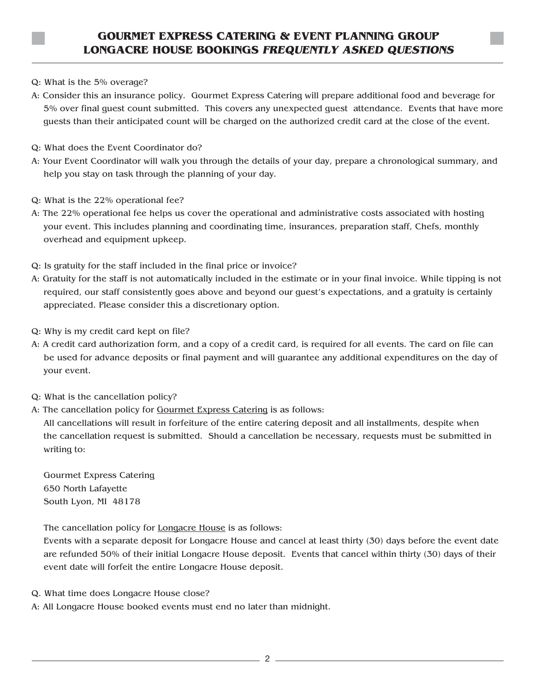- Q: What is the 5% overage?
- A: Consider this an insurance policy. Gourmet Express Catering will prepare additional food and beverage for 5% over final guest count submitted. This covers any unexpected guest attendance. Events that have more guests than their anticipated count will be charged on the authorized credit card at the close of the event.
- Q: What does the Event Coordinator do?
- A: Your Event Coordinator will walk you through the details of your day, prepare a chronological summary, and help you stay on task through the planning of your day.
- Q: What is the 22% operational fee?
- A: The 22% operational fee helps us cover the operational and administrative costs associated with hosting your event. This includes planning and coordinating time, insurances, preparation staff, Chefs, monthly overhead and equipment upkeep.
- Q: Is gratuity for the staff included in the final price or invoice?
- A: Gratuity for the staff is not automatically included in the estimate or in your final invoice. While tipping is not required, our staff consistently goes above and beyond our guest's expectations, and a gratuity is certainly appreciated. Please consider this a discretionary option.
- Q: Why is my credit card kept on file?
- A: A credit card authorization form, and a copy of a credit card, is required for all events. The card on file can be used for advance deposits or final payment and will guarantee any additional expenditures on the day of your event.
- Q: What is the cancellation policy?
- A: The cancellation policy for Gourmet Express Catering is as follows:

All cancellations will result in forfeiture of the entire catering deposit and all installments, despite when the cancellation request is submitted. Should a cancellation be necessary, requests must be submitted in writing to:

Gourmet Express Catering 650 North Lafayette South Lyon, MI 48178

The cancellation policy for Longacre House is as follows:

Events with a separate deposit for Longacre House and cancel at least thirty (30) days before the event date are refunded 50% of their initial Longacre House deposit. Events that cancel within thirty (30) days of their event date will forfeit the entire Longacre House deposit.

- Q. What time does Longacre House close?
- A: All Longacre House booked events must end no later than midnight.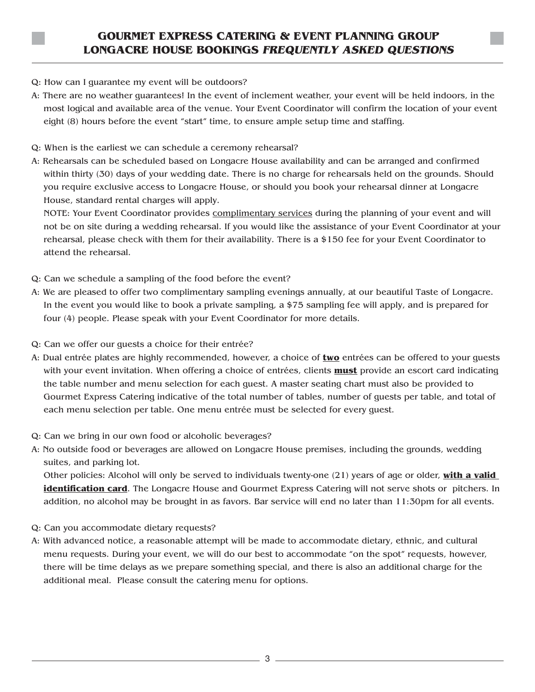- Q: How can I guarantee my event will be outdoors?
- A: There are no weather guarantees! In the event of inclement weather, your event will be held indoors, in the most logical and available area of the venue. Your Event Coordinator will confirm the location of your event eight (8) hours before the event "start" time, to ensure ample setup time and staffing.
- Q: When is the earliest we can schedule a ceremony rehearsal?
- A: Rehearsals can be scheduled based on Longacre House availability and can be arranged and confirmed within thirty (30) days of your wedding date. There is no charge for rehearsals held on the grounds. Should you require exclusive access to Longacre House, or should you book your rehearsal dinner at Longacre House, standard rental charges will apply.

NOTE: Your Event Coordinator provides complimentary services during the planning of your event and will not be on site during a wedding rehearsal. If you would like the assistance of your Event Coordinator at your rehearsal, please check with them for their availability. There is a \$150 fee for your Event Coordinator to attend the rehearsal.

- Q: Can we schedule a sampling of the food before the event?
- A: We are pleased to offer two complimentary sampling evenings annually, at our beautiful Taste of Longacre. In the event you would like to book a private sampling, a \$75 sampling fee will apply, and is prepared for four (4) people. Please speak with your Event Coordinator for more details.
- Q: Can we offer our guests a choice for their entrée?
- A: Dual entrée plates are highly recommended, however, a choice of **two** entrées can be offered to your guests with your event invitation. When offering a choice of entrées, clients **must** provide an escort card indicating the table number and menu selection for each guest. A master seating chart must also be provided to Gourmet Express Catering indicative of the total number of tables, number of guests per table, and total of each menu selection per table. One menu entrée must be selected for every guest.
- Q: Can we bring in our own food or alcoholic beverages?
- A: No outside food or beverages are allowed on Longacre House premises, including the grounds, wedding suites, and parking lot.

Other policies: Alcohol will only be served to individuals twenty-one (21) years of age or older, **with a valid identification card**. The Longacre House and Gourmet Express Catering will not serve shots or pitchers. In addition, no alcohol may be brought in as favors. Bar service will end no later than 11:30pm for all events.

- Q: Can you accommodate dietary requests?
- A: With advanced notice, a reasonable attempt will be made to accommodate dietary, ethnic, and cultural menu requests. During your event, we will do our best to accommodate "on the spot" requests, however, there will be time delays as we prepare something special, and there is also an additional charge for the additional meal. Please consult the catering menu for options.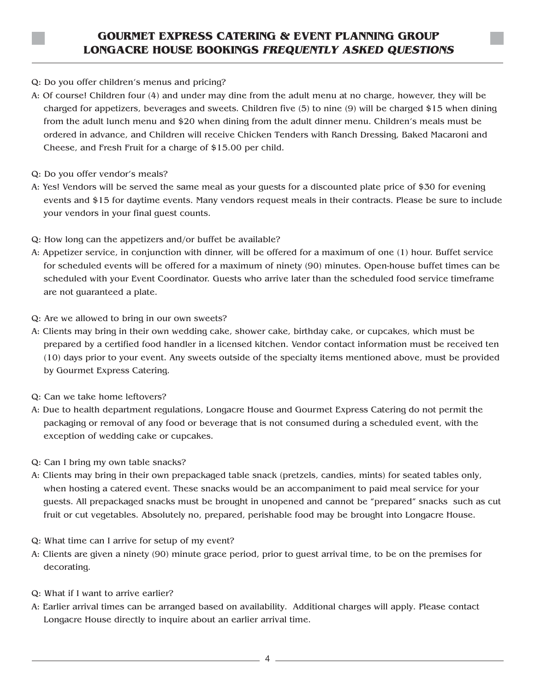- Q: Do you offer children's menus and pricing?
- A: Of course! Children four (4) and under may dine from the adult menu at no charge, however, they will be charged for appetizers, beverages and sweets. Children five (5) to nine (9) will be charged \$15 when dining from the adult lunch menu and \$20 when dining from the adult dinner menu. Children's meals must be ordered in advance, and Children will receive Chicken Tenders with Ranch Dressing, Baked Macaroni and Cheese, and Fresh Fruit for a charge of \$15.00 per child.
- Q: Do you offer vendor's meals?
- A: Yes! Vendors will be served the same meal as your guests for a discounted plate price of \$30 for evening events and \$15 for daytime events. Many vendors request meals in their contracts. Please be sure to include your vendors in your final guest counts.
- Q: How long can the appetizers and/or buffet be available?
- A: Appetizer service, in conjunction with dinner, will be offered for a maximum of one (1) hour. Buffet service for scheduled events will be offered for a maximum of ninety (90) minutes. Open-house buffet times can be scheduled with your Event Coordinator. Guests who arrive later than the scheduled food service timeframe are not guaranteed a plate.
- Q: Are we allowed to bring in our own sweets?
- A: Clients may bring in their own wedding cake, shower cake, birthday cake, or cupcakes, which must be prepared by a certified food handler in a licensed kitchen. Vendor contact information must be received ten (10) days prior to your event. Any sweets outside of the specialty items mentioned above, must be provided by Gourmet Express Catering.
- Q: Can we take home leftovers?
- A: Due to health department regulations, Longacre House and Gourmet Express Catering do not permit the packaging or removal of any food or beverage that is not consumed during a scheduled event, with the exception of wedding cake or cupcakes.
- Q: Can I bring my own table snacks?
- A: Clients may bring in their own prepackaged table snack (pretzels, candies, mints) for seated tables only, when hosting a catered event. These snacks would be an accompaniment to paid meal service for your guests. All prepackaged snacks must be brought in unopened and cannot be "prepared" snacks such as cut fruit or cut vegetables. Absolutely no, prepared, perishable food may be brought into Longacre House.
- Q: What time can I arrive for setup of my event?
- A: Clients are given a ninety (90) minute grace period, prior to guest arrival time, to be on the premises for decorating.
- Q: What if I want to arrive earlier?
- A: Earlier arrival times can be arranged based on availability. Additional charges will apply. Please contact Longacre House directly to inquire about an earlier arrival time.

 $-4$ .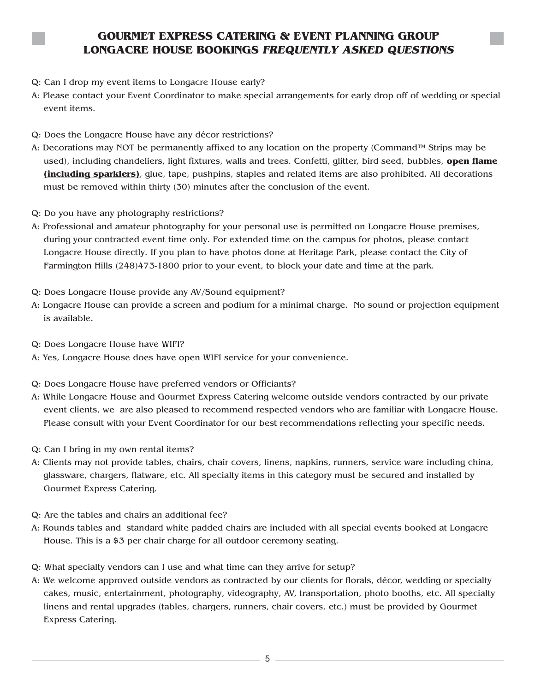- Q: Can I drop my event items to Longacre House early?
- A: Please contact your Event Coordinator to make special arrangements for early drop off of wedding or special event items.
- Q: Does the Longacre House have any décor restrictions?
- A: Decorations may NOT be permanently affixed to any location on the property (Command™ Strips may be used), including chandeliers, light fixtures, walls and trees. Confetti, glitter, bird seed, bubbles, **open flame (including sparklers)**, glue, tape, pushpins, staples and related items are also prohibited. All decorations must be removed within thirty (30) minutes after the conclusion of the event.
- Q: Do you have any photography restrictions?
- A: Professional and amateur photography for your personal use is permitted on Longacre House premises, during your contracted event time only. For extended time on the campus for photos, please contact Longacre House directly. If you plan to have photos done at Heritage Park, please contact the City of Farmington Hills (248)473-1800 prior to your event, to block your date and time at the park.
- Q: Does Longacre House provide any AV/Sound equipment?
- A: Longacre House can provide a screen and podium for a minimal charge. No sound or projection equipment is available.
- Q: Does Longacre House have WIFI?
- A: Yes, Longacre House does have open WIFI service for your convenience.
- Q: Does Longacre House have preferred vendors or Officiants?
- A: While Longacre House and Gourmet Express Catering welcome outside vendors contracted by our private event clients, we are also pleased to recommend respected vendors who are familiar with Longacre House. Please consult with your Event Coordinator for our best recommendations reflecting your specific needs.
- Q: Can I bring in my own rental items?
- A: Clients may not provide tables, chairs, chair covers, linens, napkins, runners, service ware including china, glassware, chargers, flatware, etc. All specialty items in this category must be secured and installed by Gourmet Express Catering.
- Q: Are the tables and chairs an additional fee?
- A: Rounds tables and standard white padded chairs are included with all special events booked at Longacre House. This is a \$3 per chair charge for all outdoor ceremony seating.
- Q: What specialty vendors can I use and what time can they arrive for setup?
- A: We welcome approved outside vendors as contracted by our clients for florals, décor, wedding or specialty cakes, music, entertainment, photography, videography, AV, transportation, photo booths, etc. All specialty linens and rental upgrades (tables, chargers, runners, chair covers, etc.) must be provided by Gourmet Express Catering.